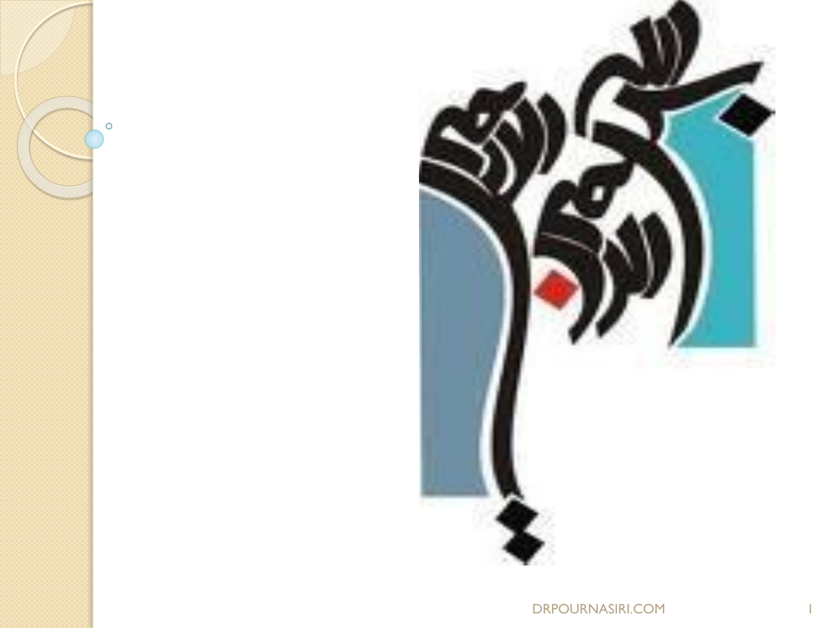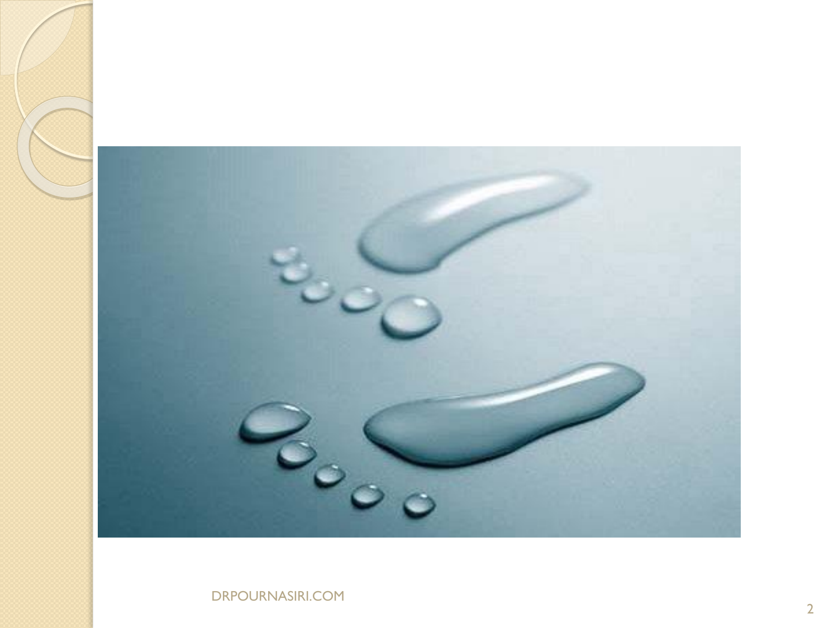

DRPOURNASIRI.COM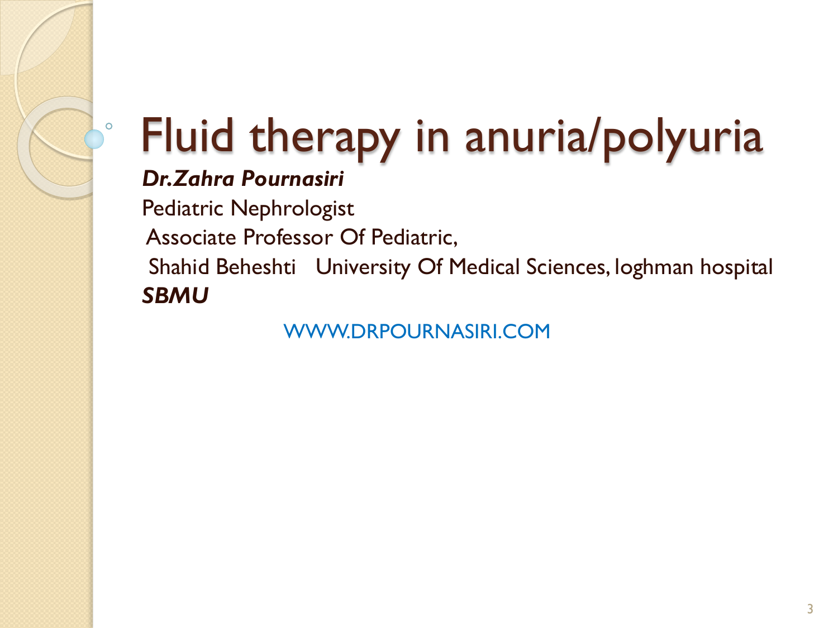# Fluid therapy in anuria/polyuria

#### *Dr.Zahra Pournasiri*

 $\circ$ 

Pediatric Nephrologist Associate Professor Of Pediatric, Shahid Beheshti University Of Medical Sciences, loghman hospital *SBMU*

WWW.DRPOURNASIRI.COM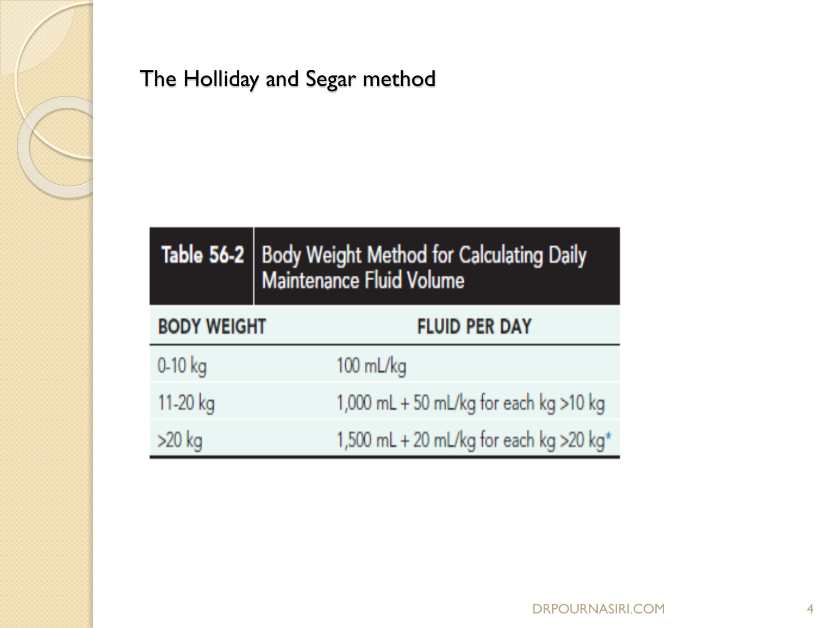

#### The Holliday and Segar method

|                    | Table 56-2   Body Weight Method for Calculating Daily<br>Maintenance Fluid Volume |  |  |  |  |  |
|--------------------|-----------------------------------------------------------------------------------|--|--|--|--|--|
| <b>BODY WEIGHT</b> | <b>FLUID PER DAY</b>                                                              |  |  |  |  |  |
| $0 - 10$ kg        | $100$ mL/kg                                                                       |  |  |  |  |  |
| 11-20 $kg$         | 1,000 mL + 50 mL/kg for each kg >10 kg                                            |  |  |  |  |  |
| $>20$ kg           | 1,500 mL + 20 mL/kg for each kg >20 kg*                                           |  |  |  |  |  |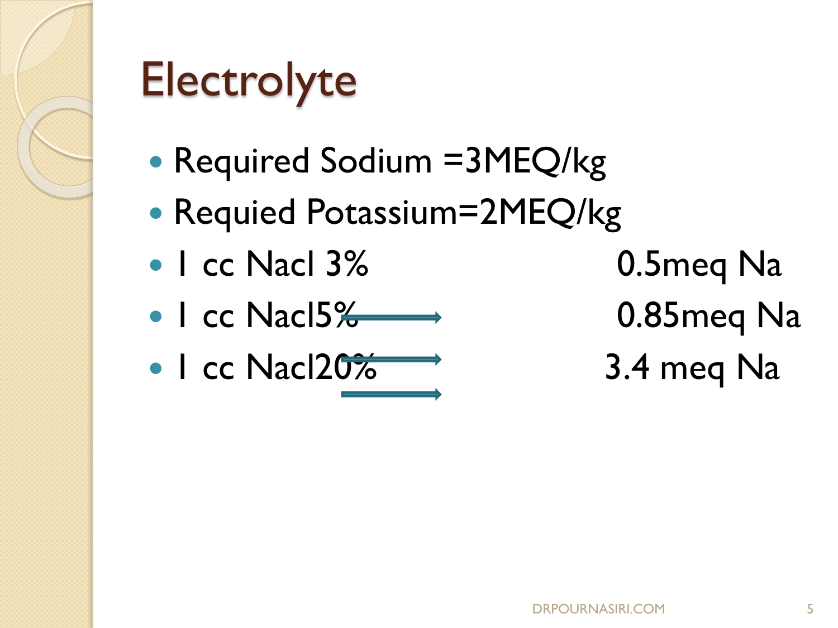

## **Electrolyte**

- Required Sodium =3MEQ/kg
- Requied Potassium=2MEQ/kg
- I cc Nacl 3% 0.5meg Na
- $\bullet$  1 cc Nacl5%  $\longrightarrow$  0.85 meg Na
- $\bullet$  1 cc Nacl20 $\frac{1}{6}$  3.4 meg Na
- -
-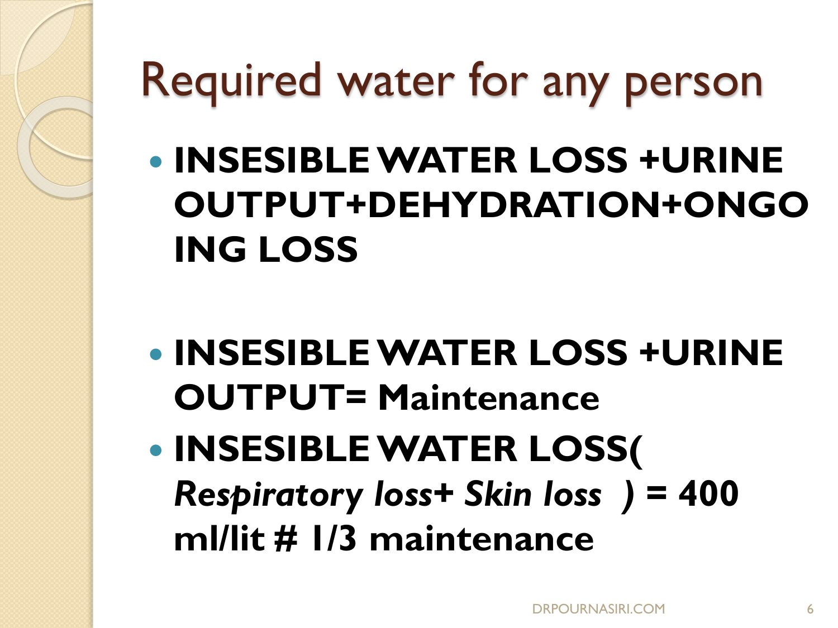## Required water for any person

- **INSESIBLE WATER LOSS +URINE OUTPUT+DEHYDRATION+ONGO ING LOSS**
- **INSESIBLE WATER LOSS +URINE OUTPUT= Maintenance**
- **INSESIBLE WATER LOSS(** *Respiratory loss+ Skin loss )* **= 400 ml/lit # 1/3 maintenance**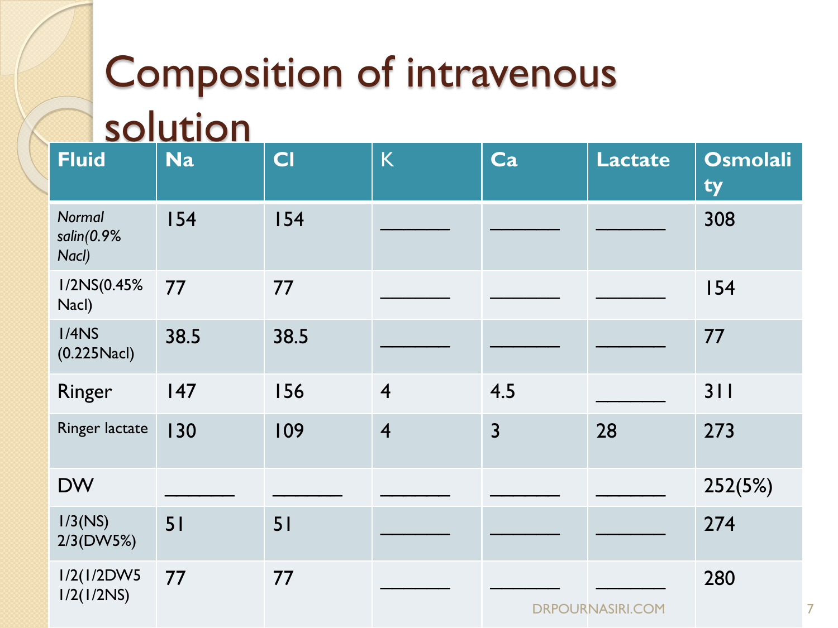### Composition of intravenous solution

| <b>Fluid</b>                             | <b>Na</b> | CI   | K              | Ca             | <b>Lactate</b>   | <b>Osmolali</b><br>ty |
|------------------------------------------|-----------|------|----------------|----------------|------------------|-----------------------|
| <b>Normal</b><br>salin $(0.9\%$<br>Nacl) | 154       | 154  |                |                |                  | 308                   |
| I/2NS(0.45%<br>Nacl)                     | 77        | 77   |                |                |                  | 154                   |
| I/ANS<br>$(0.225$ Nacl $)$               | 38.5      | 38.5 |                |                |                  | 77                    |
| Ringer                                   | 147       | 156  | $\overline{4}$ | 4.5            |                  | 311                   |
| <b>Ringer lactate</b>                    | 130       | 109  | $\overline{4}$ | $\overline{3}$ | 28               | 273                   |
| <b>DW</b>                                |           |      |                |                |                  | 252(5%)               |
| $1/3$ (NS)<br>2/3(DW5%)                  | 51        | 51   |                |                |                  | 274                   |
| 1/2(1/2DW5<br>1/2(1/2NS)                 | 77        | 77   |                |                | DRPOURNASIRI.COM | 280<br>$\overline{7}$ |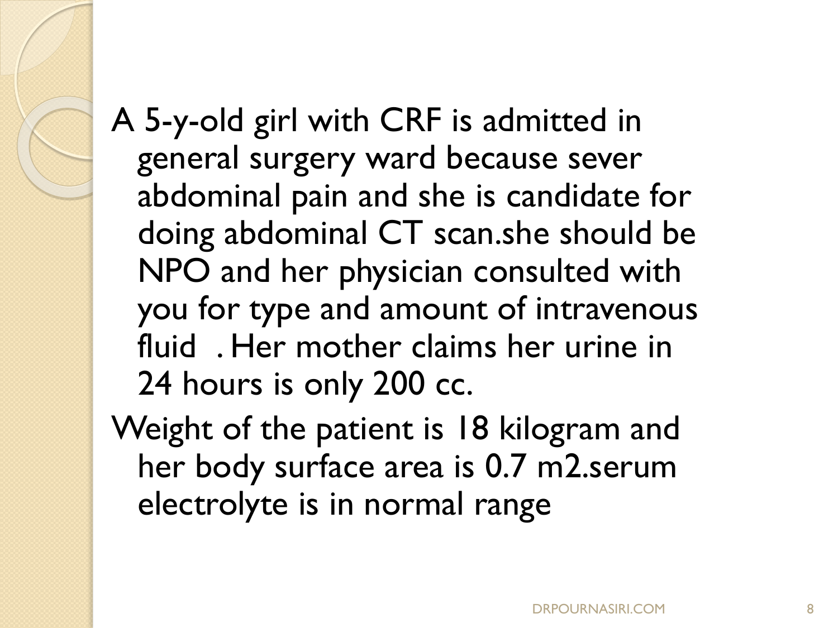A 5-y-old girl with CRF is admitted in general surgery ward because sever abdominal pain and she is candidate for doing abdominal CT scan.she should be NPO and her physician consulted with you for type and amount of intravenous fluid . Her mother claims her urine in 24 hours is only 200 cc.

Weight of the patient is 18 kilogram and her body surface area is 0.7 m2.serum electrolyte is in normal range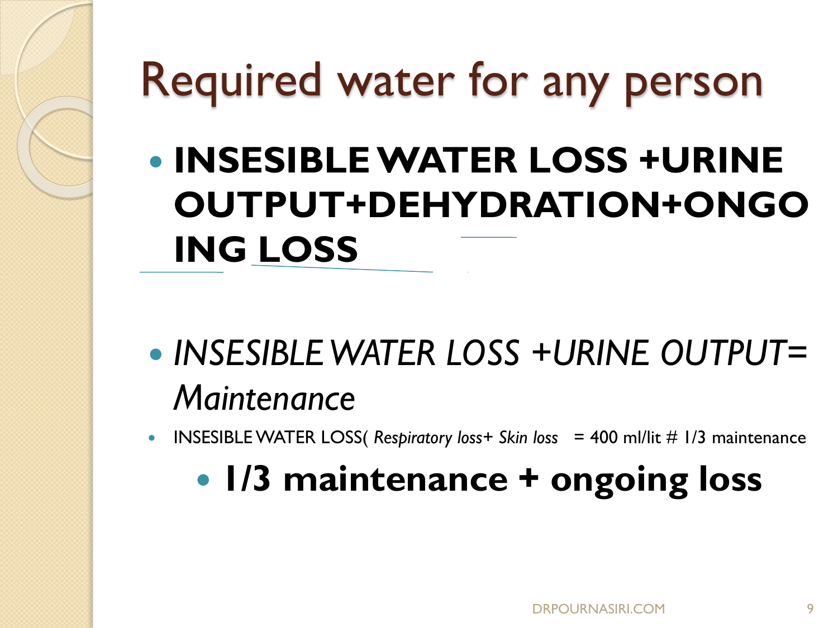## Required water for any person

- **INSESIBLE WATER LOSS +URINE OUTPUT+DEHYDRATION+ONGO ING LOSS**
- *INSESIBLE WATER LOSS +URINE OUTPUT= Maintenance*
- INSESIBLE WATER LOSS( Respiratory loss+ Skin loss = 400 ml/lit # 1/3 maintenance
	- **1/3 maintenance + ongoing loss**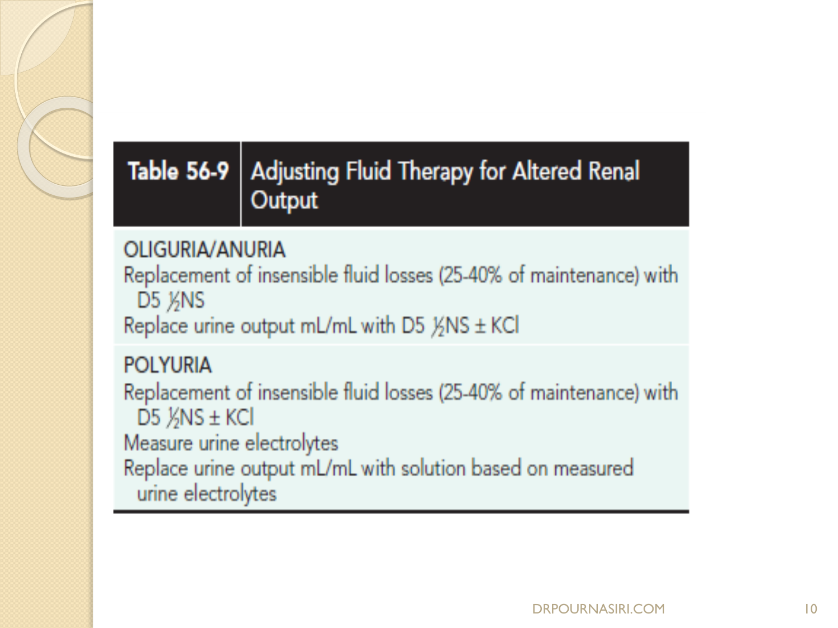#### **Table 56-9** Adjusting Fluid Therapy for Altered Renal Output

#### OLIGURIA/ANURIA

Replacement of insensible fluid losses (25-40% of maintenance) with D5 KNS

Replace urine output mL/mL with D5  $\frac{1}{2}$ NS ± KCl

#### **POLYURIA**

Replacement of insensible fluid losses (25-40% of maintenance) with  $D5$   $/$ SNS  $\pm$  KCl Measure urine electrolytes Replace urine output mL/mL with solution based on measured

urine electrolytes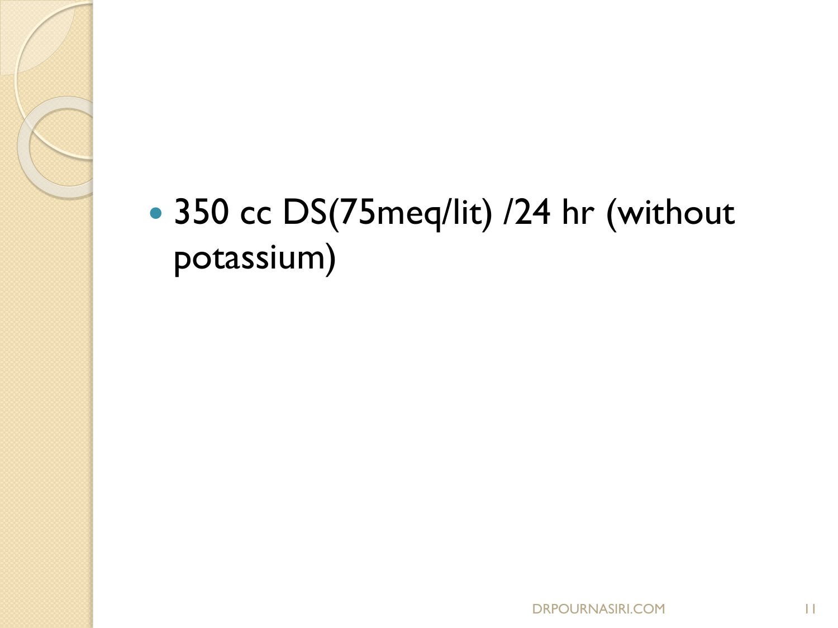### • 350 cc DS(75meq/lit) /24 hr (without potassium)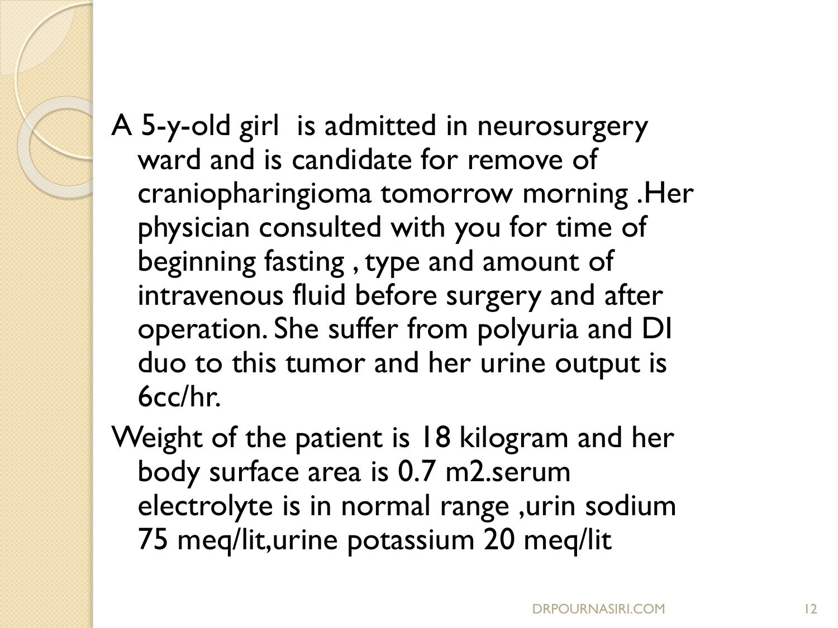A 5-y-old girl is admitted in neurosurgery ward and is candidate for remove of craniopharingioma tomorrow morning .Her physician consulted with you for time of beginning fasting , type and amount of intravenous fluid before surgery and after operation. She suffer from polyuria and DI duo to this tumor and her urine output is 6cc/hr.

Weight of the patient is 18 kilogram and her body surface area is 0.7 m2.serum electrolyte is in normal range ,urin sodium 75 meq/lit,urine potassium 20 meq/lit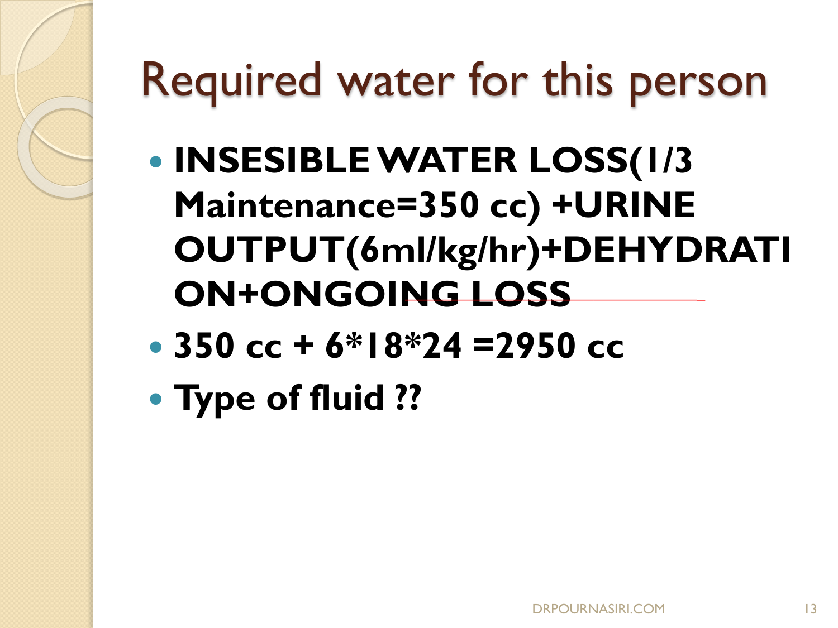## Required water for this person

- **INSESIBLE WATER LOSS(1/3 Maintenance=350 cc) +URINE OUTPUT(6ml/kg/hr)+DEHYDRATI ON+ONGOING LOSS**
- **350 cc + 6\*18\*24 =2950 cc**
- **Type of fluid ??**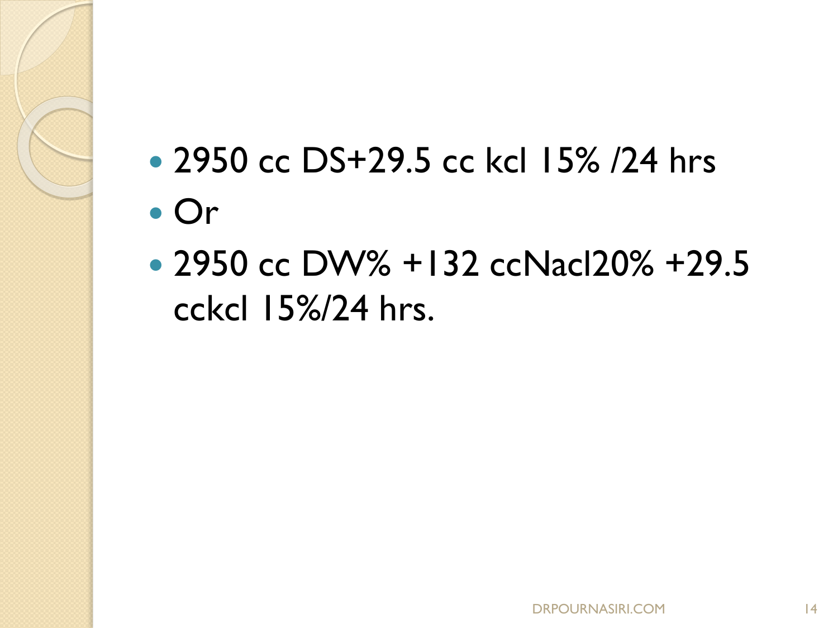### • 2950 cc DS+29.5 cc kcl 15% /24 hrs

### Or

• 2950 cc DW% +132 ccNacl20% +29.5 cckcl 15%/24 hrs.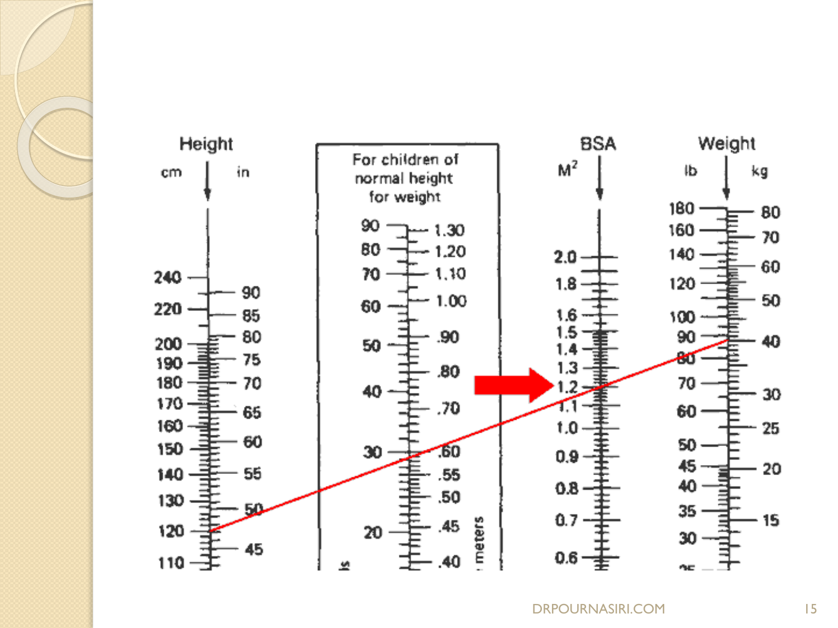